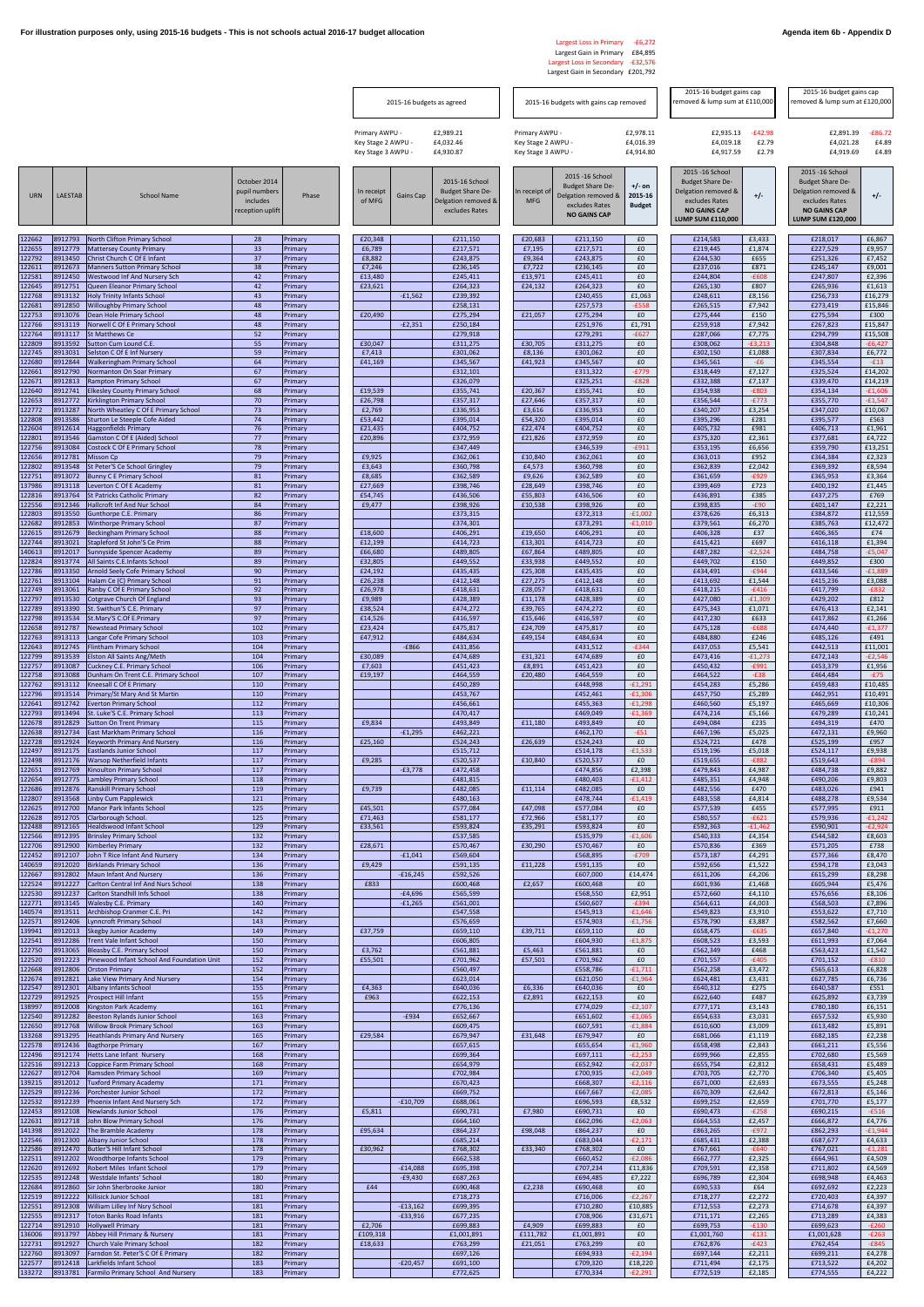## Largest Loss in Primary -£6,272 Largest Gain in Primary £84,895 Largest Loss in Secondary -£32,576 Largest Gain in Secondary £201,792

|                  |                    |                                                                             |                                                               |                    | 2015-16 budgets as agreed                                  |            |                                                                                    | 2015-16 budgets with gains cap removed                     |                                                                                                             |                                      | 2015-16 budget gains cap<br>emoved & lump sum at £110,000                                                                        |                             | 2015-16 budget gains cap<br>emoved & lump sum at £120,000                                                                        |                             |
|------------------|--------------------|-----------------------------------------------------------------------------|---------------------------------------------------------------|--------------------|------------------------------------------------------------|------------|------------------------------------------------------------------------------------|------------------------------------------------------------|-------------------------------------------------------------------------------------------------------------|--------------------------------------|----------------------------------------------------------------------------------------------------------------------------------|-----------------------------|----------------------------------------------------------------------------------------------------------------------------------|-----------------------------|
|                  |                    |                                                                             |                                                               |                    | Primary AWPU -<br>Key Stage 2 AWPU -<br>Key Stage 3 AWPU - |            | £2,989.21<br>£4,032.46<br>£4,930.87                                                | Primary AWPU -<br>Key Stage 2 AWPU -<br>Key Stage 3 AWPU - |                                                                                                             | £2,978.11<br>£4,016.39<br>£4,914.80  | £2,935.13<br>£4,019.18<br>£4,917.59                                                                                              | $-E42.98$<br>£2.79<br>£2.79 | £2,891.39<br>£4,021.28<br>£4,919.69                                                                                              | $-£86.72$<br>£4.89<br>£4.89 |
| <b>URN</b>       | LAESTAB            | <b>School Name</b>                                                          | October 2014<br>pupil numbers<br>includes<br>reception uplift | Phase              | In receipt<br>of MFG                                       | Gains Cap  | 2015-16 School<br><b>Budget Share De-</b><br>Delgation removed &<br>excludes Rates | In receipt of<br><b>MFG</b>                                | 2015 - 16 School<br><b>Budget Share De-</b><br>Delgation removed &<br>excludes Rates<br><b>NO GAINS CAP</b> | $+/-$ on<br>2015-16<br><b>Budget</b> | 2015 - 16 School<br><b>Budget Share De-</b><br>Delgation removed &<br>excludes Rates<br><b>NO GAINS CAP</b><br>LUMP SUM £110,000 | $+/-$                       | 2015 - 16 School<br><b>Budget Share De-</b><br>Delgation removed &<br>excludes Rates<br><b>NO GAINS CAP</b><br>LUMP SUM £120,000 | +/-                         |
| 122662           | 8912793            | North Clifton Primary School                                                | 28                                                            | Primary            | £20,348                                                    |            | £211,150                                                                           | £20,683                                                    | £211,150                                                                                                    | £0                                   | £214,583                                                                                                                         | £3,433                      | £218,017                                                                                                                         | £6,867                      |
| 122655<br>122792 | 8912779<br>8913450 | <b>Mattersey County Primary</b><br>Christ Church C Of E Infant              | 33<br>37                                                      | Primary<br>Primary | £6,789<br>£8,882                                           |            | £217,571<br>£243,875                                                               | £7,195<br>£9,364                                           | £217,571<br>£243,875                                                                                        | £0<br>£0                             | £219,445<br>£244,530                                                                                                             | £1,874<br>£655              | £227,529<br>£251,326                                                                                                             | £9,957<br>£7,452            |
| 122611<br>122581 | 8912673<br>8912450 | <b>Manners Sutton Primary School</b><br>Westwood Inf And Nursery Sch        | 38<br>42                                                      | Primary<br>Primary | £7,246<br>£13,480                                          |            | £236,145<br>£245,411                                                               | £7,722<br>£13,971                                          | £236,145<br>£245,411                                                                                        | £0<br>£0                             | £237,016<br>£244,804                                                                                                             | £871<br>$-£608$             | £245,147<br>£247,807                                                                                                             | £9,001<br>£2,396            |
| 122645           | 8912751            | Queen Eleanor Primary School                                                | 42                                                            | Primary            | £23,621                                                    |            | £264,323                                                                           | £24,132                                                    | £264,323                                                                                                    | £0                                   | £265,130                                                                                                                         | £807                        | £265,936                                                                                                                         | £1,613                      |
| 122768<br>122681 | 8913132<br>8912850 | <b>Holy Trinity Infants School</b><br><b>Willoughby Primary School</b>      | 43<br>48                                                      | Primary<br>Primary |                                                            | $-£1,562$  | £239,392<br>£258,131                                                               |                                                            | £240,455<br>£257,573                                                                                        | £1,063<br>$-E558$                    | £248,611<br>£265,515                                                                                                             | £8,156<br>£7,942            | £256,733<br>£273,419                                                                                                             | £16,279<br>£15,846          |
| 122753<br>122766 | 8913076<br>3913119 | Dean Hole Primary School<br><b>Norwell C Of E Primary School</b>            | 48<br>48                                                      | Primary<br>Primary | £20,490                                                    | $-E2,351$  | £275,294<br>£250,184                                                               | £21,057                                                    | £275,294<br>£251,976                                                                                        | £0<br>£1,791                         | £275,444<br>£259,918                                                                                                             | £150<br>£7,942              | £275,594<br>£267,823                                                                                                             | £300<br>£15,847             |
| 122764<br>122809 | 8913117<br>8913592 | St Matthews Ce<br>Sutton Cum Lound C.E.                                     | 52<br>55                                                      | Primary<br>Primary | £30,047                                                    |            | £279,918<br>£311,275                                                               | £30,705                                                    | £279,291<br>£311,275                                                                                        | $-£627$<br>£0                        | £287,066<br>£308,062                                                                                                             | £7,775<br>$-£3,213$         | £294,799<br>£304,848                                                                                                             | £15,508<br>$-£6,427$        |
| 122745           | 8913031<br>8912844 | Selston C Of E Inf Nursery                                                  | 59<br>64                                                      | Primary            | £7,413                                                     |            | £301,062<br>£345,567                                                               | £8,136                                                     | £301,062<br>£345,567                                                                                        | £0<br>£0                             | £302,150<br>£345,561                                                                                                             | £1,088                      | £307,834<br>£345,554                                                                                                             | £6,772<br>$-E13$            |
| 122680<br>122661 | 8912790            | <b>Walkeringham Primary School</b><br><b>Normanton On Soar Primary</b>      | 67                                                            | Primary<br>Primary | £41,169                                                    |            | £312,101                                                                           | £41,923                                                    | £311,322                                                                                                    | $-£779$                              | £318,449                                                                                                                         | $-E6$<br>£7,127             | £325,524                                                                                                                         | £14,202                     |
| 122671<br>122640 | 8912813<br>8912741 | Rampton Primary School<br><b>Elkesley County Primary School</b>             | 67<br>68                                                      | Primary<br>Primary | £19,539                                                    |            | £326,079<br>£355,741                                                               | £20,367                                                    | £325,251<br>£355,741                                                                                        | $-E828$<br>£0                        | £332,388<br>£354,938                                                                                                             | £7,137<br>$-E803$           | £339,470<br>£354,134                                                                                                             | £14,219<br>$-£1,606$        |
| 122653<br>122772 | 8912772<br>3913287 | Kirklington Primary School<br>North Wheatley C Of E Primary School          | 70<br>73                                                      | Primary<br>Primary | £26,798<br>£2,769                                          |            | £357,317<br>£336,953                                                               | £27,646<br>£3,616                                          | £357,317<br>£336,953                                                                                        | £0<br>£0                             | £356,544<br>£340,207                                                                                                             | $-E773$<br>£3,254           | £355,770<br>£347,020                                                                                                             | $-£1,547$<br>£10,067        |
| 122808<br>122604 | 8913586<br>8912614 | Sturton Le Steeple Cofe Aided<br>laggonfields Primary                       | 74<br>76                                                      | Primary<br>Primary | £53,442<br>£21,435                                         |            | £395,014<br>£404,752                                                               | £54,320<br>£22,474                                         | £395,014<br>£404,752                                                                                        | £0<br>£0                             | £395,296<br>£405,732                                                                                                             | £281<br>£981                | £395,577<br>£406,713                                                                                                             | £563<br>£1,961              |
| 122801<br>122756 | 8913546<br>8913084 | Gamston C Of E (Aided) School<br>Costock C Of E Primary School              | 77<br>78                                                      | Primary<br>Primary | £20,896                                                    |            | £372,959<br>£347,449                                                               | £21,826                                                    | £372,959<br>£346,539                                                                                        | £0<br>$-£911$                        | £375,320<br>£353,195                                                                                                             | £2,361<br>£6,656            | £377,681<br>£359,790                                                                                                             | £4,722<br>£13,251           |
| 122656           | 8912781            | <b>Misson Cp</b>                                                            | 79                                                            | Primary            | £9,925                                                     |            | £362,061                                                                           | £10,840                                                    | £362,061                                                                                                    | £0                                   | £363,013                                                                                                                         | £952                        | £364,384                                                                                                                         | £2,323                      |
| 122802<br>122751 | 8913548<br>8913072 | St Peter'S Ce School Gringley<br><b>Bunny C E Primary School</b>            | 79<br>81                                                      | Primary<br>Primary | £3,643<br>£8,685                                           |            | £360,798<br>£362,589                                                               | £4,573<br>£9,626                                           | £360,798<br>£362,589                                                                                        | £0<br>£0                             | £362,839<br>£361,659                                                                                                             | £2,042<br>$-E929$           | £369,392<br>£365,953                                                                                                             | £8,594<br>£3,364            |
| 137986<br>122816 | 8913118<br>3913764 | everton C Of E Academy<br>st Patricks Catholic Primary                      | 81<br>82                                                      | Primary<br>Primary | £27,669<br>£54,745                                         |            | £398,746<br>£436,506                                                               | £28,649<br>£55,803                                         | £398,746<br>£436,506                                                                                        | £0<br>£0                             | £399,469<br>£436,891                                                                                                             | £723<br>£385                | £400,192<br>£437,275                                                                                                             | £1,445<br>£769              |
| 122556<br>122803 | 8912346<br>8913550 | Hallcroft Inf And Nur School<br><b>Gunthorpe C.E. Primary</b>               | 84<br>86                                                      | Primary<br>Primary | £9,477                                                     |            | £398,926<br>£373,315                                                               | £10,538                                                    | £398,926<br>£372,313                                                                                        | £0<br>$-£1,002$                      | £398,835<br>£378,626                                                                                                             | $-E90$<br>£6,313            | £401,147<br>£384,872                                                                                                             | £2,221<br>£12,559           |
| 122682<br>122615 | 8912853<br>8912679 | <b>Winthorpe Primary School</b><br>Beckingham Primary School                | 87<br>88                                                      | Primary<br>Primary | £18,600                                                    |            | £374,301<br>£406,291                                                               | £19,650                                                    | £373,291<br>£406,291                                                                                        | $-£1,010$<br>£0                      | £379,561<br>£406,328                                                                                                             | £6,270<br>£37               | £385,763<br>£406,365                                                                                                             | £12,472<br>£74              |
| 122744           | 8913021            | Stapleford St John'S Ce Prim                                                | 88                                                            | Primary            | £12,199                                                    |            | £414,723                                                                           | £13,301                                                    | £414,723                                                                                                    | £0                                   | £415,421                                                                                                                         | £697                        | £416,118                                                                                                                         | £1,394                      |
| 140613<br>122824 | 8912017<br>8913774 | Sunnyside Spencer Academy<br>All Saints C.E.Infants School                  | 89<br>89                                                      | Primary<br>Primary | £66,680<br>£32,805                                         |            | £489,805<br>£449,552                                                               | £67,864<br>£33,938                                         | £489,805<br>£449,552                                                                                        | £0<br>£0                             | £487,282<br>£449,702                                                                                                             | $-E2,524$<br>£150           | £484,758<br>£449,852                                                                                                             | $-£5,047$<br>£300           |
| 122786<br>122761 | 8913350<br>8913104 | Arnold Seely Cofe Primary School<br>Halam Ce (C) Primary School             | 90<br>91                                                      | Primary<br>Primary | £24,192<br>£26,238                                         |            | £435,435<br>£412,148                                                               | £25,308<br>£27,275                                         | £435,435<br>£412,148                                                                                        | £0<br>£0                             | £434,491<br>£413,692                                                                                                             | $-E944$<br>£1,544           | £433,546<br>£415,236                                                                                                             | $-£1,889$<br>£3,088         |
| 122749<br>122797 | 8913061<br>8913530 | Ranby C Of E Primary School<br>Cotgrave Church Of England                   | 92<br>93                                                      | Primary<br>Primary | £26,978<br>£9,989                                          |            | £418,631<br>£428,389                                                               | £28,057<br>£11,178                                         | £418,631<br>£428,389                                                                                        | £0<br>£0                             | £418,215<br>£427,080                                                                                                             | $-£416$<br>$-£1,309$        | £417,799<br>£429,202                                                                                                             | $-E832$<br>£812             |
| 122789<br>122798 | 8913390<br>8913534 | St. Swithun'S C.E. Primary<br>St.Mary'S C.Of E.Primary                      | 97<br>97                                                      | Primary<br>Primary | £38,524<br>£14,526                                         |            | £474,272<br>£416,597                                                               | £39,765<br>£15,646                                         | £474,272<br>£416,597                                                                                        | £0<br>£0                             | £475,343<br>£417,230                                                                                                             | £1,071<br>£633              | £476,413<br>£417,862                                                                                                             | £2,141<br>£1,266            |
| 122658<br>122763 | 8912787<br>8913113 | <b>Newstead Primary School</b><br>Langar Cofe Primary School                | 102<br>103                                                    | Primary<br>Primary | £23,424<br>£47,912                                         |            | £475,817<br>£484,634                                                               | £24,709<br>£49,154                                         | £475,817<br>£484,634                                                                                        | £0<br>£0                             | £475,128<br>£484,880                                                                                                             | $-£688$<br>£246             | £474,440<br>£485,126                                                                                                             | $-£1,377$<br>£491           |
| 122643           | 3912745            | lintham Primary School                                                      | 104                                                           | Primary            |                                                            | $-E866$    | £431,856                                                                           |                                                            | £431,512                                                                                                    | $-E344$                              | £437,053                                                                                                                         | £5,541                      | £442,513                                                                                                                         | £11,001                     |
| 122799<br>122757 | 8913539<br>8913087 | Iston All Saints Ang/Meth<br>Cuckney C.E. Primary School                    | 104<br>106                                                    | Primary<br>Primary | £30,089<br>£7,603                                          |            | £474,689<br>£451,423                                                               | £31,321<br>£8,891                                          | £474,689<br>£451,423                                                                                        | £0<br>£0                             | £473,416<br>£450,432                                                                                                             | $-f1,273$<br>$-£991$        | £472,143<br>£453,379                                                                                                             | $-E2,546$<br>£1,956         |
| 122758<br>122762 | 8913088<br>8913112 | Dunham On Trent C.E. Primary School<br>Kneesall C Of E Primary              | 107<br>110                                                    | Primary<br>Primary | £19,197                                                    |            | £464,559<br>£450,289                                                               | £20,480                                                    | £464,559<br>£448,998                                                                                        | £0<br>$-£1,29:$                      | £464,522<br>£454,283                                                                                                             | $-E38$<br>£5,286            | £464,484<br>£459,483                                                                                                             | $-E75$<br>£10,485           |
| 122796<br>122641 | 8913514<br>8912742 | Primary/St Mary And St Martin<br><b>Everton Primary School</b>              | 110<br>112                                                    | Primary<br>Primary |                                                            |            | £453,767<br>£456,661                                                               |                                                            | £452,461<br>£455,363                                                                                        | $-£1,306$<br>$-£1,298$               | £457,750<br>£460,560                                                                                                             | £5,289<br>£5,197            | £462,951<br>£465,669                                                                                                             | £10,491<br>£10,306          |
| 122793<br>122678 | 8913494<br>8912829 | St. Luke'S C.E. Primary School<br><b>Sutton On Trent Primary</b>            | 113<br>115                                                    | Primary<br>Primary | £9,834                                                     |            | £470,417<br>£493,849                                                               | £11,180                                                    | £469,049<br>£493,849                                                                                        | $-£1,369$<br>£0                      | £474,214<br>£494,084                                                                                                             | £5,166<br>£235              | £479,289<br>£494,319                                                                                                             | £10,241<br>£470             |
| 122638<br>122728 | 3912734<br>8912924 | ast Markham Primary School<br><b>Ceyworth Primary And Nursery</b>           | 116<br>116                                                    | Primary<br>Primary | £25,160                                                    | $-£1,295$  | £462,221<br>£524,243                                                               | £26,639                                                    | £462,170<br>£524,243                                                                                        | $-£51$<br>£0                         | £467,196<br>£524,721                                                                                                             | £5,025<br>£478              | £472,131<br>£525,199                                                                                                             | £9,960<br>£957              |
| 122497           | 8912175            | <b>Eastlands Junior School</b>                                              | 117                                                           | Primary            |                                                            |            | £515,712                                                                           |                                                            | £514,178                                                                                                    | $-£1,533$                            | £519,196                                                                                                                         | £5,018                      | £524,117                                                                                                                         | £9,938                      |
| 122498<br>122651 | 8912176<br>8912769 | Warsop Netherfield Infants<br>Kinoulton Primary School                      | 117<br>117                                                    | Primary<br>Primary | £9,285                                                     | $-E3,778$  | £520,537<br>£472,458                                                               | £10,840                                                    | £520,537<br>£474,856                                                                                        | £0<br>£2,398                         | £519,655<br>£479,843                                                                                                             | $-E882$<br>£4,987           | £519,643<br>£484,738                                                                                                             | $-E894$<br>£9,882           |
| 122654<br>122686 | 8912775<br>8912876 | ambley Primary School<br>Ranskill Primary School                            | 118<br>119                                                    | Primary<br>Primary | £9,739                                                     |            | £481,815<br>£482,085                                                               | £11,114                                                    | £480,403<br>£482,085                                                                                        | $-£1,412$<br>£0                      | £485,351<br>£482,556                                                                                                             | £4,948<br>£470              | £490,206<br>£483,026                                                                                                             | £9,803<br>£941              |
| 122807<br>122625 | 8913568<br>8912700 | inby Cum Papplewick<br><b>Manor Park Infants School</b>                     | 121<br>125                                                    | Primary<br>Primary | £45,501                                                    |            | £480,163<br>£577,084                                                               | £47,098                                                    | £478,744<br>£577,084                                                                                        | $-f1,419$<br>£0                      | £483,558<br>£577,539                                                                                                             | £4,814<br>£455              | £488,278<br>£577,995                                                                                                             | £9,534<br>£911              |
| 122628<br>122488 | 3912705<br>8912165 | Clarborough School.<br>lealdswood Infant School                             | 125<br>129                                                    | Primary<br>Primary | £71,463<br>£33,561                                         |            | £581,177<br>£593,824                                                               | £72,966<br>£35,291                                         | £581,177<br>£593,824                                                                                        | £0<br>£0                             | £580,557<br>£592,363                                                                                                             | $-£621$<br>$-£1,462$        | £579,936<br>£590,901                                                                                                             | $-£1,242$<br>$-E2,924$      |
| 122566<br>122706 | 8912395<br>8912900 | <b>Brinsley Primary School</b><br>Kimberley Primary                         | 132<br>132                                                    | Primary<br>Primary | £28,671                                                    |            | £537,585<br>£570,467                                                               | £30,290                                                    | £535,979<br>£570,467                                                                                        | $-£1,606$<br>£0                      | £540,333<br>£570,836                                                                                                             | £4,354<br>£369              | £544,582<br>£571,205                                                                                                             | £8,603<br>£738              |
| 122452           | 8912107            | John T Rice Infant And Nursery                                              | 134                                                           | Primary            |                                                            | $-£1,041$  | £569,604                                                                           |                                                            | £568,895                                                                                                    | $-E709$                              | £573,187                                                                                                                         | £4,291                      | £577,366                                                                                                                         | £8,470                      |
| 140659<br>122667 | 8912020<br>8912802 | <b>Birklands Primary School</b><br>Maun Infant And Nursery                  | 136<br>136                                                    | Primary<br>Primary | £9,429                                                     | $-£16,245$ | £591,135<br>£592,526                                                               | £11,228                                                    | £591,135<br>£607,000                                                                                        | £0<br>£14,474                        | £592,656<br>£611,206                                                                                                             | £1,522<br>£4,206            | £594,178<br>£615,299                                                                                                             | £3,043<br>£8,298            |
| 122524<br>122530 | 3912227<br>8912237 | Carlton Central Inf And Nurs School<br>Carlton Standhill Infs School        | 138<br>138                                                    | Primary<br>Primary | £833                                                       | $-£4,696$  | £600,468<br>£565,599                                                               | £2,657                                                     | £600,468<br>£568,550                                                                                        | £0<br>£2,951                         | £601,936<br>£572,660                                                                                                             | £1,468<br>£4,110            | £605,944<br>£576,656                                                                                                             | £5,476<br>£8,106            |
| 122771<br>140574 | 8913145<br>8913511 | Walesby C.E. Primary<br>Archbishop Cranmer C.E. Pri                         | 140<br>142                                                    | Primary<br>Primary |                                                            | $-£1,265$  | £561,001<br>£547,558                                                               |                                                            | £560,607<br>£545,913                                                                                        | $-E394$<br>$-£1,646$                 | £564,611<br>£549,823                                                                                                             | £4,003<br>£3,910            | £568,503<br>£553,622                                                                                                             | £7,896<br>£7,710            |
| 122571<br>139941 | 8912406<br>8912013 | ynncroft Primary School<br><b>Skegby Junior Academy</b>                     | 143<br>149                                                    | Primary<br>Primary | £37,759                                                    |            | £576,659<br>£659,110                                                               | £39,711                                                    | £574,903<br>£659,110                                                                                        | $-£1,756$<br>£0                      | £578,790<br>£658,475                                                                                                             | £3,887<br>$-£635$           | £582,562<br>£657,840                                                                                                             | £7,660<br>$-£1,270$         |
| 122541<br>122750 | 8912286<br>8913065 | Trent Vale Infant School<br><b>Bleasby C.E. Primary School</b>              | 150<br>150                                                    | Primary<br>Primary | £3,762                                                     |            | £606,805<br>£561,881                                                               | £5,463                                                     | £604,930<br>£561,881                                                                                        | $-£1,875$<br>£0                      | £608,523<br>£562,349                                                                                                             | £3,593<br>£468              | £611,993<br>£563,423                                                                                                             | £7,064<br>£1,542            |
| 122520           | 8912223            | Pinewood Infant School And Foundation Unit                                  | 152                                                           | Primary            | £55,501                                                    |            | £701,962                                                                           | £57,501                                                    | £701,962                                                                                                    | £0                                   | £701,557                                                                                                                         | $-£405$                     | £701,152                                                                                                                         | $-E810$                     |
| 122668<br>122674 | 3912806<br>8912821 | Orston Primary<br>ake View Primary And Nursery                              | 152<br>154                                                    | Primary<br>Primary |                                                            |            | £560,497<br>£623,014                                                               |                                                            | £558,786<br>£621,050                                                                                        | $-£1,711$<br>$-£1,964$               | £562,258<br>£624,481                                                                                                             | £3,472<br>£3,431            | £565,613<br>£627,785                                                                                                             | £6,828<br>£6,736            |
| 122547<br>122729 | 8912301<br>8912925 | <b>Albany Infants School</b><br>Prospect Hill Infant                        | 155<br>155                                                    | Primary<br>Primary | £4,363<br>£963                                             |            | £640,036<br>£622,153                                                               | £6,336<br>£2,891                                           | £640,036<br>£622,153                                                                                        | £0<br>£0                             | £640,312<br>£622,640                                                                                                             | £275<br>£487                | £640,587<br>£625,892                                                                                                             | £551<br>£3,739              |
| 138997<br>122540 | 8912008<br>8912282 | Kingston Park Academy<br>Beeston Rylands Junior School                      | 161<br>163                                                    | Primary<br>Primary |                                                            | $-E934$    | £776,136<br>£652,667                                                               |                                                            | £774,029<br>£651,602                                                                                        | $-E2,107$<br>$-£1,065$               | £777,171<br>£654,633                                                                                                             | £3,143<br>£3,031            | £780,180<br>£657,532                                                                                                             | £6,151<br>£5,930            |
| 122650<br>133268 | 8912768<br>3913295 | <b>Willow Brook Primary School</b><br><b>Heathlands Primary And Nursery</b> | 163<br>165                                                    | Primary<br>Primary | £29,584                                                    |            | £609,475<br>£679,947                                                               | £31,648                                                    | £607,591<br>£679,947                                                                                        | $-£1,884$<br>£0                      | £610,600<br>£681,066                                                                                                             | £3,009<br>£1,119            | £613,482<br>£682,185                                                                                                             | £5,891<br>£2,238            |
| 122578<br>122496 | 8912436<br>8912174 | Bagthorpe Primary<br>Hetts Lane Infant Nursery                              | 167<br>168                                                    | Primary<br>Primary |                                                            |            | £657,615<br>£699,364                                                               |                                                            | £655,654<br>£697,111                                                                                        | $-£1,960$<br>$-E2,253$               | £658,498<br>£699,966                                                                                                             | £2,843<br>£2,855            | £661,211<br>£702,680                                                                                                             | £5,556<br>£5,569            |
| 122516           | 8912213            | Coppice Farm Primary School                                                 | 168                                                           | Primary            |                                                            |            | £654,979                                                                           |                                                            | £652,942                                                                                                    | $-E2,037$                            | £655,754                                                                                                                         | £2,812                      | £658,431                                                                                                                         | £5,489                      |
| 122627<br>139215 | 8912704<br>8912012 | Ramsden Primary School<br><b>Tuxford Primary Academy</b>                    | 169<br>171                                                    | Primary<br>Primary |                                                            |            | £702,984<br>£670,423                                                               |                                                            | £700,935<br>£668,307                                                                                        | $-E2,049$<br>$-E2,116$               | £703,705<br>£671,000                                                                                                             | £2,770<br>£2,693            | £706,340<br>£673,555                                                                                                             | £5,405<br>£5,248            |
| 122529<br>122532 | 8912236<br>8912239 | Porchester Junior School<br>Phoenix Infant And Nursery Sch                  | 172<br>172                                                    | Primary<br>Primary |                                                            | $-£10,709$ | £669,752<br>£688,061                                                               |                                                            | £667,667<br>£696,593                                                                                        | $-E2,085$<br>£8,532                  | £670,309<br>£699,252                                                                                                             | £2,642<br>£2,659            | £672,813<br>£701,770                                                                                                             | £5,146<br>£5,177            |
| 122453<br>122631 | 8912108<br>8912718 | Newlands Junior School<br>John Blow Primary School                          | 176<br>176                                                    | Primary<br>Primary | £5,811                                                     |            | £690,731<br>£664,160                                                               | £7,980                                                     | £690,731<br>£662,096                                                                                        | £0<br>$-E2,063$                      | £690,473<br>£664,553                                                                                                             | $-E258$<br>£2,457           | £690,215<br>£666,872                                                                                                             | $-E516$<br>£4,776           |
| 141398<br>122546 | 8912022<br>8912300 | The Bramble Academy<br>Albany Junior School                                 | 178<br>178                                                    | Primary<br>Primary | £95,634                                                    |            | £864,237<br>£685,214                                                               | £98,048                                                    | £864,237<br>£683,044                                                                                        | £0<br>$-E2,171$                      | £863,265<br>£685,431                                                                                                             | $-E972$<br>£2,388           | £862,293<br>£687,677                                                                                                             | $-£1,944$<br>£4,633         |
| 122586           | 8912470<br>8912202 | <b>Butler'S Hill Infant School</b><br><b>Woodthorpe Infants School</b>      | 178                                                           | Primary            | £30,962                                                    |            | £768,302<br>£662,538                                                               | £33,340                                                    | £768,302<br>£660,452                                                                                        | £0<br>$-E2,086$                      | £767,661                                                                                                                         | $-£640$                     | £767,021                                                                                                                         | $-£1,281$                   |
| 122511<br>122620 | 8912692            | Robert Miles Infant School                                                  | 179<br>179                                                    | Primary<br>Primary |                                                            | $-E14,088$ | £695,398                                                                           |                                                            | £707,234                                                                                                    | £11,836                              | £662,777<br>£709,591                                                                                                             | £2,325<br>£2,358            | £664,961<br>£711,802                                                                                                             | £4,509<br>£4,569            |
| 122535<br>122684 | 8912248<br>8912860 | Westdale Infants' School<br>Sir John Sherbrooke Junior                      | 180<br>180                                                    | Primary<br>Primary | £44                                                        | $-£9,430$  | £687,263<br>£690,468                                                               | £2,238                                                     | £694,485<br>£690,468                                                                                        | £7,222<br>£0                         | £696,789<br>£690,533                                                                                                             | £2,304<br>£64               | £698,948<br>£692,692                                                                                                             | £4,463<br>£2,223            |
| 122519<br>122551 | 8912222<br>8912308 | Killisick Junior School<br>William Lilley Inf Nsry School                   | 181<br>181                                                    | Primary<br>Primary |                                                            | $-E13,162$ | £718,273<br>£699,395                                                               |                                                            | £716,006<br>£710,280                                                                                        | $-E2,267$<br>£10,885                 | £718,277<br>£712,553                                                                                                             | £2,272<br>£2,273            | £720,403<br>£714,678                                                                                                             | £4,397<br>£4,397            |
| 122555<br>122714 | 8912317<br>8912910 | <b>Toton Banks Road Infants</b><br><b>Hollywell Primary</b>                 | 181<br>181                                                    | Primary<br>Primary | £2,706                                                     | $-E33,916$ | £677,235<br>£699,883                                                               | £4,909                                                     | £708,906<br>£699,883                                                                                        | £31,671<br>£0                        | £711,171<br>£699,753                                                                                                             | £2,265<br>$-E130$           | £713,289<br>£699,623                                                                                                             | £4,383<br>$-E260$           |
| 136006<br>122731 | 8913797<br>8912927 | Abbey Hill Primary & Nursery<br>Church Vale Primary School                  | 181<br>182                                                    | Primary<br>Primary | £109,318<br>£18,633                                        |            | £1,001,891<br>£763,299                                                             | £111,782<br>£21,051                                        | £1,001,891<br>£763,299                                                                                      | £0<br>£0                             | £1,001,760<br>£762,876                                                                                                           | $-£131$<br>$-E423$          | £1,001,628<br>£762,454                                                                                                           | $-E263$<br>$-E845$          |
| 122760<br>122577 | 8913097<br>8912418 | Farndon St. Peter'S C Of E Primary<br>Larkfields Infant School              | 182<br>183                                                    | Primary<br>Primary |                                                            | $-E20,457$ | £697,126<br>£691,100                                                               |                                                            | £694,933<br>£709,320                                                                                        | $-E2,194$<br>£18,220                 | £697,144<br>£711,494                                                                                                             | £2,211<br>£2,175            | £699,211<br>£713,522                                                                                                             | £4,278<br>£4,202            |
| 133272           | 8913781            | Farmilo Primary School And Nursery                                          | 183                                                           | Primary            |                                                            |            | £772,625                                                                           |                                                            | £770,334                                                                                                    | $-E2,291$                            | £772,519                                                                                                                         | £2,185                      | £774,555                                                                                                                         | £4,222                      |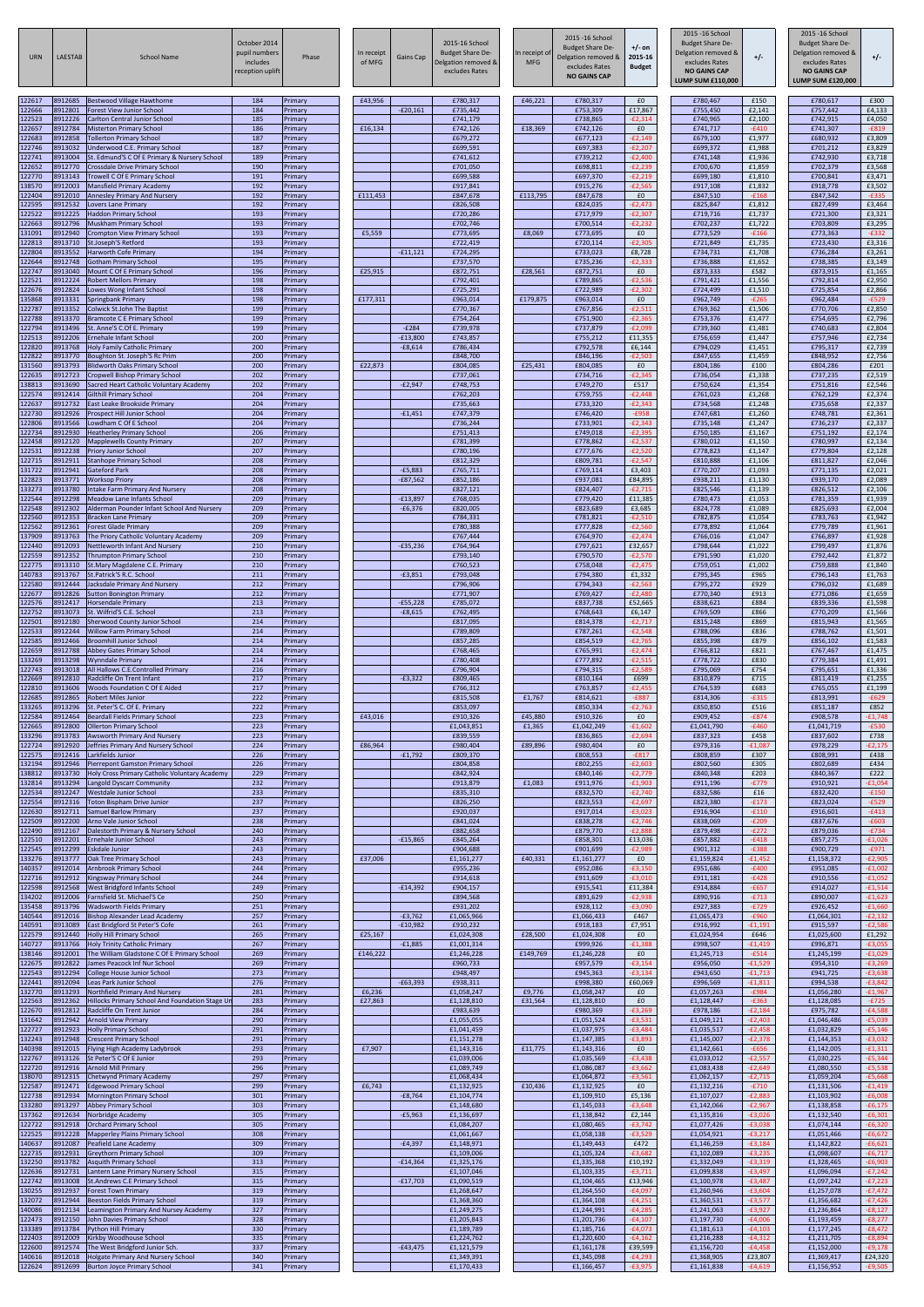| URN                        | <b>LAESTAB</b>                | <b>School Name</b>                                                                                        | October 2014<br>pupil numbers<br>includes<br>reception uplift | Phase                         | In receipt<br>of MFG | Gains Cap               | 2015-16 School<br><b>Budget Share De-</b><br>Delgation removed &<br>excludes Rates | In receipt of<br><b>MFG</b> | 2015 - 16 School<br><b>Budget Share De-</b><br>Delgation removed &<br>excludes Rates<br><b>NO GAINS CAP</b> | $+/-$ on<br>2015-16<br><b>Budget</b> | 2015 - 16 School<br><b>Budget Share De-</b><br>Delgation removed &<br>excludes Rates<br><b>NO GAINS CAP</b><br><b>LUMP SUM £110,000</b> | $+/-$                               | 2015 - 16 School<br><b>Budget Share De-</b><br>Delgation removed &<br>excludes Rates<br><b>NO GAINS CAP</b><br><b>LUMP SUM £120,000</b> | $+/-$                               |
|----------------------------|-------------------------------|-----------------------------------------------------------------------------------------------------------|---------------------------------------------------------------|-------------------------------|----------------------|-------------------------|------------------------------------------------------------------------------------|-----------------------------|-------------------------------------------------------------------------------------------------------------|--------------------------------------|-----------------------------------------------------------------------------------------------------------------------------------------|-------------------------------------|-----------------------------------------------------------------------------------------------------------------------------------------|-------------------------------------|
| 122617<br>122666           | 8912685<br>8912801            | <b>Bestwood Village Hawthorne</b><br><b>Forest View Junior School</b>                                     | 184<br>184                                                    | Primary<br>Primary            | £43,956              | $-E20,161$              | £780,317<br>£735,442                                                               | £46,221                     | £780,317<br>£753,309                                                                                        | £0<br>£17,867                        | £780,467<br>£755,450                                                                                                                    | £150<br>£2,141                      | £780,617<br>£757,442                                                                                                                    | £300<br>£4,133                      |
| 122523<br>122657           | 8912226<br>8912784            | <b>Carlton Central Junior School</b><br><b>Misterton Primary School</b>                                   | 185<br>186                                                    | Primary<br>Primary            | £16,134              |                         | £741,179<br>£742,126                                                               | £18,369                     | £738,865<br>£742,126                                                                                        | $-E2,314$<br>£0                      | £740,965<br>£741,717                                                                                                                    | £2,100<br>$-£410$                   | £742,915<br>£741,307                                                                                                                    | £4,050<br>$-E819$                   |
| 122683<br>122746           | 8912858<br>8913032            | <b>Tollerton Primary School</b><br>Underwood C.E. Primary School                                          | 187<br>187                                                    | Primary<br>Primary            |                      |                         | £679,272<br>£699,591                                                               |                             | £677,123<br>£697,383                                                                                        | $-E2,149$<br>$-E2,207$               | £679,100<br>£699,372                                                                                                                    | £1,977<br>£1,988                    | £680,932<br>£701,212                                                                                                                    | £3,809<br>£3,829                    |
| 122741<br>122652           | 8913004<br>8912770            | St. Edmund'S C Of E Primary & Nursery School<br><b>Crossdale Drive Primary School</b>                     | 189<br>190                                                    | Primary<br>Primary            |                      |                         | £741,612<br>£701,050                                                               |                             | £739,212<br>£698,811                                                                                        | $-E2,400$<br>$-E2,239$               | £741,148<br>£700,670                                                                                                                    | £1,936<br>£1,859                    | £742,930<br>£702,379                                                                                                                    | £3,718<br>£3,568                    |
| 122770<br>138570           | 8913143<br>8912003            | Trowell C Of E Primary School<br>Mansfield Primary Academy                                                | 191<br>192                                                    | Primary<br>Primary            |                      |                         | £699,588<br>£917,841                                                               |                             | £697,370<br>£915,276                                                                                        | $-E2,219$<br>$-£2,565$               | £699,180<br>£917,108                                                                                                                    | £1,810<br>£1,832                    | £700,841<br>£918,778                                                                                                                    | £3,471<br>£3,502                    |
| 122404<br>122595           | 8912010<br>8912532            | <b>Annesley Primary And Nursery</b><br>Lovers Lane Primary                                                | 192<br>192                                                    | Primary<br>Primary            | £111,453             |                         | £847,678<br>£826,508                                                               | £113,795                    | £847,678<br>£824,035                                                                                        | £0<br>$-E2,473$                      | £847,510<br>£825,847                                                                                                                    | $-£168$<br>£1,812                   | £847,342<br>£827,499                                                                                                                    | $-E335$<br>£3,464                   |
| 122522<br>122663           | 8912225<br>8912796            | <b>Haddon Primary School</b><br><b>Muskham Primary School</b>                                             | 193<br>193                                                    | Primary<br>Primary            |                      |                         | £720,286<br>£702,746                                                               |                             | £717,979<br>£700,514                                                                                        | $-E2,307$<br>$-E2,232$               | £719,716<br>£702,237                                                                                                                    | £1,737<br>£1,722                    | £721,300<br>£703,809                                                                                                                    | £3,321<br>£3,295                    |
| 131091<br>122813<br>122804 | 8912940<br>8913710<br>8913552 | Crompton View Primary School<br>St.Joseph'S Retford<br><b>Harworth Cofe Primary</b>                       | 193<br>193<br>194                                             | Primary<br>Primary<br>Primary | £5,559               | $-£11,121$              | £773,695<br>£722,419<br>£724,295                                                   | £8,069                      | £773,695<br>£720,114<br>£733,023                                                                            | £0<br>$-E2,305$<br>£8,728            | £773,529<br>£721,849<br>£734,731                                                                                                        | $-£166$<br>£1,735<br>£1,708         | £773,363<br>£723,430<br>£736,284                                                                                                        | $-E332$<br>£3,316<br>£3,261         |
| 122644<br>122747           | 8912748<br>8913040            | <b>Gotham Primary School</b><br>Mount C Of E Primary School                                               | 195<br>196                                                    | Primary<br>Primary            | £25,915              |                         | £737,570<br>£872,751                                                               | £28,561                     | £735,236<br>£872,751                                                                                        | $-E2,333$<br>£0                      | £736,888<br>£873,333                                                                                                                    | £1,652<br>£582                      | £738,385<br>£873,915                                                                                                                    | £3,149<br>£1,165                    |
| 122521<br>122676           | 8912224<br>8912824            | <b>Robert Mellors Primary</b><br>Lowes Wong Infant School                                                 | 198<br>198                                                    | Primary<br>Primary            |                      |                         | £792,401<br>£725,291                                                               |                             | £789,865<br>£722,989                                                                                        | $-£2,536$<br>$-E2,302$               | £791,421<br>£724,499                                                                                                                    | £1,556<br>£1,510                    | £792,814<br>£725,854                                                                                                                    | £2,950<br>£2,866                    |
| 135868<br>122787           | 8913331<br>8913352            | Springbank Primary<br><b>Colwick St.John The Baptist</b>                                                  | 198<br>199                                                    | Primary<br>Primary            | £177,311             |                         | £963,014<br>£770,367                                                               | £179,875                    | £963,014<br>£767,856                                                                                        | £0<br>$-E2,511$                      | £962,749<br>£769,362                                                                                                                    | $-E265$<br>£1,506                   | £962,484<br>£770,706                                                                                                                    | $-E529$<br>£2,850                   |
| 122788<br>122794           | 8913370<br>8913496            | <b>Bramcote C E Primary School</b><br>St. Anne'S C.Of E. Primary                                          | 199<br>199                                                    | Primary<br>Primary            |                      | $-E284$                 | £754,264<br>£739,978                                                               |                             | £751,900<br>£737,879                                                                                        | $-E2,365$<br>$-E2,099$               | £753,376<br>£739,360                                                                                                                    | £1,477<br>£1,481                    | £754,695<br>£740,683                                                                                                                    | £2,796<br>£2,804                    |
| 122513<br>122820           | 8912206<br>8913768            | <b>Ernehale Infant School</b><br><b>Holy Family Catholic Primary</b>                                      | 200<br>200                                                    | Primary<br>Primary            |                      | $-£13,800$<br>$-£8,614$ | £743,857<br>£786,434                                                               |                             | £755,212<br>£792,578                                                                                        | £11,355<br>£6,144                    | £756,659<br>£794,029                                                                                                                    | £1,447<br>£1,451                    | £757,946<br>£795,317                                                                                                                    | £2,734<br>£2,739                    |
| 122822<br>131560           | 8913770<br>8913793            | Boughton St. Joseph'S Rc Prim<br><b>Blidworth Oaks Primary School</b>                                     | 200<br>200                                                    | Primary<br>Primary            | £22,873              |                         | £848,700<br>£804,085                                                               | £25,431                     | £846,196<br>£804,085                                                                                        | $-E2,503$<br>£0                      | £847,655<br>£804,186                                                                                                                    | £1,459<br>£100                      | £848,952<br>£804,286                                                                                                                    | £2,756<br>£201                      |
| 122635<br>138813           | 8912723<br>8913690            | Cropwell Bishop Primary School<br>Sacred Heart Catholic Voluntary Academy                                 | 202<br>202                                                    | Primary<br>Primary            |                      | $-E2,947$               | £737,061<br>£748,753                                                               |                             | £734,716<br>£749,270                                                                                        | $-E2,345$<br>£517                    | £736,054<br>£750,624                                                                                                                    | £1,338<br>£1,354                    | £737,235<br>£751,816                                                                                                                    | £2,519<br>£2,546                    |
| 122574<br>122637           | 8912414<br>8912732            | <b>Gilthill Primary School</b><br>East Leake Brookside Primary                                            | 204<br>204                                                    | Primary<br>Primary            |                      |                         | £762,203<br>£735,663                                                               |                             | £759,755<br>£733,320                                                                                        | $-E2,448$<br>$-E2,343$               | £761,023<br>£734,568                                                                                                                    | £1,268<br>£1,248                    | £762,129<br>£735,658                                                                                                                    | £2,374<br>£2,337                    |
| 122730<br>122806           | 8912926<br>8913566            | Prospect Hill Junior School<br>Lowdham C Of E School                                                      | 204<br>204                                                    | Primary<br>Primary            |                      | $-£1,451$               | £747,379<br>£736,244                                                               |                             | £746,420<br>£733,901                                                                                        | $-E958$<br>$-E2,343$                 | £747,681<br>£735,148                                                                                                                    | £1,260<br>£1,247                    | £748,781<br>£736,237                                                                                                                    | £2,361<br>£2,337                    |
| 122734<br>122458<br>122531 | 8912930<br>8912120<br>8912238 | <b>Heatherley Primary School</b><br><b>Mapplewells County Primary</b><br>Priory Junior School             | 206<br>207<br>207                                             | Primary<br>Primary<br>Primary |                      |                         | £751,413<br>£781,399<br>£780,196                                                   |                             | £749,018<br>£778,862<br>£777,676                                                                            | $-E2,395$<br>$-E2,537$<br>$-E2,520$  | £750,185<br>£780,012<br>£778,823                                                                                                        | £1,167<br>£1,150<br>£1,147          | £751,192<br>£780,997<br>£779,804                                                                                                        | £2,174<br>£2,134<br>£2,128          |
| 122715<br>131722           | 8912911<br>8912941            | <b>Stanhope Primary School</b><br>Gateford Park                                                           | 208<br>208                                                    | Primary<br>Primary            |                      | $-E5,883$               | £812,329<br>£765,711                                                               |                             | £809,781<br>£769,114                                                                                        | $-E2,547$<br>£3,403                  | £810,888<br>£770,207                                                                                                                    | £1,106<br>£1,093                    | £811,827<br>£771,135                                                                                                                    | £2,046<br>£2,021                    |
| 122823<br>133273           | 8913771<br>8913780            | <b>Worksop Priory</b><br><b>Intake Farm Primary And Nursery</b>                                           | 208<br>208                                                    | Primary<br>Primary            |                      | $-£87,562$              | £852,186<br>£827,121                                                               |                             | £937,081<br>£824,407                                                                                        | £84,895<br>$-E2,715$                 | £938,211<br>£825,546                                                                                                                    | £1,130<br>£1,139                    | £939,170<br>£826,512                                                                                                                    | £2,089<br>£2,106                    |
| 122544<br>122548           | 8912298<br>8912302            | Meadow Lane Infants School<br>Alderman Pounder Infant School And Nursery                                  | 209<br>209                                                    | Primary<br>Primary            |                      | $-£13,897$<br>$-£6,376$ | £768,035<br>£820,005                                                               |                             | £779,420<br>£823,689                                                                                        | £11,385<br>£3,685                    | £780,473<br>£824,778                                                                                                                    | £1,053<br>£1,089                    | £781,359<br>£825,693                                                                                                                    | £1,939<br>£2,004                    |
| 122560<br>122562           | 8912353<br>8912361            | Bracken Lane Primary<br><b>Forest Glade Primary</b>                                                       | 209<br>209                                                    | Primary<br>Primary            |                      |                         | £784,331<br>£780,388                                                               |                             | £781,821<br>£777,828                                                                                        | $-E2,510$<br>$-£2,560$               | £782,875<br>£778,892                                                                                                                    | £1,054<br>£1,064                    | £783,763<br>£779,789                                                                                                                    | £1,942<br>£1,961                    |
| 137909<br>122440           | 8913763<br>8912093            | The Priory Catholic Voluntary Academy<br>Nettleworth Infant And Nursery                                   | 209<br>210                                                    | Primary<br>Primary            |                      | $-£35,236$              | £767,444<br>£764,964                                                               |                             | £764,970<br>£797,621                                                                                        | $-E2,474$<br>£32,657                 | £766,016<br>£798,644                                                                                                                    | £1,047<br>£1,022                    | £766,897<br>£799,497                                                                                                                    | £1,928<br>£1,876                    |
| 122559<br>122775           | 8912352<br>8913310            | <b>Thrumpton Primary School</b><br>St.Mary Magdalene C.E. Primary                                         | 210<br>210                                                    | Primary<br>Primary            |                      |                         | £793,140<br>£760,523                                                               |                             | £790,570<br>£758,048                                                                                        | $-E2,570$<br>$-E2,475$               | £791,590<br>£759,051                                                                                                                    | £1,020<br>£1,002                    | £792,442<br>£759,888                                                                                                                    | £1,872<br>£1,840                    |
| 140783<br>122580           | 8913767<br>8912444            | St.Patrick'S R.C. School<br>Jacksdale Primary And Nursery                                                 | 211<br>212                                                    | Primary<br>Primary            |                      | $-E3,851$               | £793,048<br>£796,906                                                               |                             | £794,380<br>£794,343                                                                                        | £1,332<br>$-E2,563$                  | £795,345<br>£795,272                                                                                                                    | £965<br>£929                        | £796,143<br>£796,032                                                                                                                    | £1,763<br>£1,689                    |
| 122677<br>122576           | 8912826<br>8912417            | <b>Sutton Bonington Primary</b><br><b>Horsendale Primary</b>                                              | 212<br>213                                                    | Primary<br>Primary            |                      | $-E55,228$              | £771,907<br>£785,072                                                               |                             | £769,427<br>£837,738                                                                                        | $-E2,480$<br>£52,665                 | £770,340<br>£838,621                                                                                                                    | £913<br>£884                        | £771,086<br>£839,336                                                                                                                    | £1,659<br>£1,598                    |
| 122752<br>122501<br>122533 | 8913073<br>8912180<br>8912244 | St. Wilfrid'S C.E. School<br><b>Sherwood County Junior School</b>                                         | 213<br>214<br>214                                             | Primary<br>Primary            |                      | $-£8,615$               | £762,495<br>£817,095<br>£789,809                                                   |                             | £768,643<br>£814,378<br>£787,261                                                                            | £6,147<br>$-E2,717$<br>$-E2,548$     | £769,509<br>£815,248<br>£788,096                                                                                                        | £866<br>£869<br>£836                | £770,209<br>£815,943<br>£788,762                                                                                                        | £1,566<br>£1,565                    |
| 122585<br>122659           | 8912466<br>8912788            | <b>Willow Farm Primary School</b><br><b>Broomhill Junior School</b><br>Abbey Gates Primary School         | 214<br>214                                                    | Primary<br>Primary<br>Primary |                      |                         | £857,285<br>£768,465                                                               |                             | £854,519<br>£765,991                                                                                        | $-E2,765$<br>$-E2,474$               | £855,398<br>£766,812                                                                                                                    | £879<br>£821                        | £856,102<br>£767,467                                                                                                                    | £1,501<br>£1,583<br>£1,475          |
| 133269<br>122743           | 8913298<br>8913018            | Wynndale Primary<br>All Hallows C.E.Controlled Primary                                                    | 214<br>216                                                    | Primary<br>Primary            |                      |                         | £780,408<br>£796,904                                                               |                             | £777,892<br>£794,315                                                                                        | $-£2,515$<br>$-E2,589$               | £778,722<br>£795,069                                                                                                                    | £830<br>£754                        | £779,384<br>£795,651                                                                                                                    | £1,491<br>£1,336                    |
| 122669<br>122810           | 8912810<br>8913606            | Radcliffe On Trent Infant<br>Woods Foundation C Of E Aided                                                | 217<br>217                                                    | Primary<br>Primary            |                      | $-E3,322$               | £809,465<br>£766,312                                                               |                             | £810,164<br>£763,857                                                                                        | £699<br>$-E2,455$                    | £810,879<br>£764,539                                                                                                                    | £715<br>£683                        | £811,419<br>£765,055                                                                                                                    | £1,255<br>£1,199                    |
| 122685<br>133265           | 8912865<br>8913296            | Robert Miles Junior<br>St. Peter'S C. Of E. Primary                                                       | 222<br>222                                                    | Primary<br>Primary            |                      |                         | £815,508<br>£853,097                                                               | £1,767                      | £814,621<br>£850,334                                                                                        | $-E887$<br>$-E2,763$                 | £814,306<br>£850,850                                                                                                                    | $-£315$<br>£516                     | £813,991<br>£851,187                                                                                                                    | $-E629$<br>£852                     |
| 122584<br>122665           | 8912464<br>8912800            | Beardall Fields Primary School<br><b>Ollerton Primary School</b>                                          | 223<br>223                                                    | Primary<br>Primary            | £43,016              |                         | £910,326<br>£1,043,851                                                             | £45,880<br>£1,365           | £910,326<br>£1,042,249                                                                                      | £0<br>$-£1,602$                      | £909,452<br>£1,041,790                                                                                                                  | $-E874$<br>$-£460$                  | £908,578<br>£1,041,719                                                                                                                  | $-£1,748$<br>$-E530$                |
| 133296<br>122724           | 8913783<br>8912920            | Awsworth Primary And Nursery<br>Jeffries Primary And Nursery School                                       | 223<br>224                                                    | Primary<br>Primary            | £86,964              |                         | £839,559<br>£980,404                                                               | £89,896                     | £836,865<br>£980,404                                                                                        | $-£2,694$<br>£0                      | £837,323<br>£979,316                                                                                                                    | £458<br>$-£1,087$                   | £837,602<br>£978,229                                                                                                                    | £738<br>$-E2,175$                   |
| 122575<br>132194           | 8912416<br>8912946            | Larkfields Junior<br>Pierrepont Gamston Primary School                                                    | 226<br>226                                                    | Primary<br>Primary            |                      | $-£1,792$               | £809,370<br>£804,858                                                               |                             | £808,553<br>£802,255                                                                                        | $-E817$<br>$-E2,603$                 | £808,859<br>£802,560                                                                                                                    | £307<br>£305                        | £808,991<br>£802,689                                                                                                                    | £438<br>£434                        |
| 138812<br>132814<br>122534 | 8913730<br>8913294<br>8912247 | Holy Cross Primary Catholic Voluntary Academy<br>Langold Dyscarr Community                                | 229<br>232<br>233                                             | Primary<br>Primary            |                      |                         | £842,924<br>£913,879                                                               | £1,083                      | £840,146<br>£911,976<br>£832,570                                                                            | $-E2,779$<br>$-£1,903$<br>$-E2,740$  | £840,348<br>£911,196<br>£832,586                                                                                                        | £203<br>$-E779$<br>£16              | £840,367<br>£910,921<br>£832,420                                                                                                        | £222<br>$-£1,054$<br>$-£150$        |
| 122554<br>122630           | 8912316<br>8912711            | Westdale Junior School<br><b>Toton Bispham Drive Junior</b><br>Samuel Barlow Primary                      | 237<br>237                                                    | Primary<br>Primary<br>Primary |                      |                         | £835,310<br>£826,250<br>£920,037                                                   |                             | £823,553<br>£917,014                                                                                        | $-E2,697$<br>$-£3,023$               | £823,380<br>£916,904                                                                                                                    | $-E173$<br>$-£110$                  | £823,024<br>£916,601                                                                                                                    | $-E529$<br>$-E413$                  |
| 122509<br>122490           | 8912200<br>8912167            | Arno Vale Junior School<br>Dalestorth Primary & Nursery School                                            | 238<br>240                                                    | Primary<br>Primary            |                      |                         | £841,024<br>£882,658                                                               |                             | £838,278<br>£879,770                                                                                        | $-E2,746$<br>$-E2,888$               | £838,069<br>£879,498                                                                                                                    | $-E209$<br>$-E272$                  | £837,676<br>£879,036                                                                                                                    | $-E603$<br>$-E734$                  |
| 122510<br>122545           | 8912201<br>8912299            | Ernehale Junior School<br>Eskdale Junior                                                                  | 243<br>243                                                    | Primary<br>Primary            |                      | $-£15,865$              | £845,264<br>£904,688                                                               |                             | £858,301<br>£901,699                                                                                        | £13,036<br>$-E2,989$                 | £857,882<br>£901,312                                                                                                                    | $-£418$<br>$-E388$                  | £857,275<br>£900,729                                                                                                                    | $-£1,026$<br>$-E971$                |
| 133276<br>140357           | 8913777<br>8912014            | Oak Tree Primary School<br>Arnbrook Primary School                                                        | 243<br>244                                                    | Primary<br>Primary            | £37,006              |                         | £1,161,277<br>£955,236                                                             | £40,331                     | £1,161,277<br>£952,086                                                                                      | £0<br>$-£3,150$                      | £1,159,824<br>£951,686                                                                                                                  | $-£1,452$<br>$-E400$                | £1,158,372<br>£951,085                                                                                                                  | $-E2,905$<br>$-£1,002$              |
| 122716<br>122598           | 8912912<br>8912568            | <b>Kingsway Primary School</b><br>West Bridgford Infants School                                           | 244<br>249                                                    | Primary<br>Primary            |                      | $-E14,392$              | £914,618<br>£904,157                                                               |                             | £911,609<br>£915,541                                                                                        | $-£3,010$<br>£11,384                 | £911,181<br>£914,884                                                                                                                    | $-E428$<br>$-£657$                  | £910,556<br>£914,027                                                                                                                    | $-£1,052$<br>$-£1,514$              |
| 134202<br>135458           | 8912006<br>8913796            | Farnsfield St. Michael'S Ce<br><b>Wadsworth Fields Primary</b>                                            | 250<br>251                                                    | Primary<br>Primary            |                      |                         | £894,568<br>£931,202                                                               |                             | £891,629<br>£928,112                                                                                        | $-E2,938$<br>$-£3,090$               | £890,916<br>£927,383                                                                                                                    | $-E713$<br>$-E729$                  | £890,007<br>£926,452                                                                                                                    | $-£1,623$<br>$-£1,660$              |
| 140544<br>140591           | 8912016<br>8913089            | Bishop Alexander Lead Academy<br>East Bridgford St Peter'S Cofe                                           | 257<br>261                                                    | Primary<br>Primary            |                      | $-E3,762$<br>$-£10,982$ | £1,065,966<br>£910,232                                                             |                             | £1,066,433<br>£918,183                                                                                      | £467<br>£7,951                       | £1,065,473<br>£916,992                                                                                                                  | $-£960$<br>$-£1,191$                | £1,064,301<br>£915,597                                                                                                                  | $-E2,132$<br>$-E2,586$              |
| 122579<br>140727           | 8912440<br>8913766            | <b>Holly Hill Primary School</b><br><b>Holy Trinity Catholic Primary</b>                                  | 265<br>267                                                    | Primary<br>Primary            | £25,167              | $-£1,885$               | £1,024,308<br>£1,001,314                                                           | £28,500                     | £1,024,308<br>£999,926                                                                                      | £0<br>$-£1,388$                      | £1,024,954<br>£998,507                                                                                                                  | £646<br>$-£1,419$                   | £1,025,600<br>£996,871                                                                                                                  | £1,292<br>$-£3,055$                 |
| 138146<br>122675<br>122543 | 8912001<br>8912822<br>8912294 | The William Gladstone C Of E Primary School<br>James Peacock Inf Nur School                               | 269<br>269<br>273                                             | Primary<br>Primary            | £146,222             |                         | £1,246,228<br>£960,733<br>£948,497                                                 | £149,769                    | £1,246,228<br>£957,579<br>£945,363                                                                          | £0<br>$-£3,154$<br>$-£3,134$         | £1,245,713<br>£956,050<br>£943,650                                                                                                      | $-£514$<br>$-£1,529$<br>$-£1,713$   | £1,245,199<br>£954,310<br>£941,725                                                                                                      | $-£1,029$<br>$-£3,269$<br>$-£3,638$ |
| 122441<br>132770           | 8912094<br>8913293            | College House Junior School<br>Leas Park Junior School<br>Northfield Primary And Nursery                  | 276<br>281                                                    | Primary<br>Primary<br>Primary | £6,236               | $-£63,393$              | £938,311<br>£1,058,247                                                             | £9,776                      | £998,380<br>£1,058,247                                                                                      | £60,069<br>£0                        | £996,569<br>£1,057,263                                                                                                                  | $-£1,811$<br>$-£984$                | £994,538<br>£1,056,280                                                                                                                  | $-£3,842$<br>$-£1,967$              |
| 122563<br>122670           | 8912362<br>8912812            | Hillocks Primary School And Foundation Stage Un<br>Radcliffe On Trent Junior                              | 283<br>284                                                    | Primary<br>Primary            | £27,863              |                         | £1,128,810<br>£983,639                                                             | £31,564                     | £1,128,810<br>£980,369                                                                                      | £0<br>$-£3,269$                      | £1,128,447<br>£978,186                                                                                                                  | $-E363$<br>$-E2,184$                | £1,128,085<br>£975,782                                                                                                                  | $-E725$<br>-£4,588                  |
| 131642<br>122727           | 8912942<br>8912923            | <b>Arnold View Primary</b><br><b>Holly Primary School</b>                                                 | 290<br>291                                                    | Primary<br>Primary            |                      |                         | £1,055,055<br>£1,041,459                                                           |                             | £1,051,524<br>£1,037,975                                                                                    | $-£3,531$<br>$-£3,484$               | £1,049,121<br>£1,035,517                                                                                                                | $-E2,403$<br>$-E2,458$              | £1,046,486<br>£1,032,829                                                                                                                | $-£5,039$<br>$-£5,146$              |
| 132243<br>140398           | 8912948<br>8912015            | <b>Crescent Primary School</b><br>Flying High Academy Ladybrook                                           | 291<br>293                                                    | Primary<br>Primary            | £7,907               |                         | £1,151,278<br>£1,143,316                                                           | £11,775                     | £1,147,385<br>£1,143,316                                                                                    | $-£3,893$<br>£0                      | £1,145,007<br>£1,142,661                                                                                                                | $-E2,378$<br>$-£656$                | £1,144,353<br>£1,142,005                                                                                                                | $-£3,032$<br>$-f1,311$              |
| 122767<br>122720           | 8913126<br>8912916            | St Peter'S C Of E Junior<br><b>Arnold Mill Primary</b>                                                    | 293<br>296                                                    | Primary<br>Primary            |                      |                         | £1,039,006<br>£1,089,749                                                           |                             | £1,035,569<br>£1,086,087                                                                                    | $-£3,438$<br>$-£3,662$               | £1,033,012<br>£1,083,438                                                                                                                | $-E2,557$<br>$-E2,649$              | £1,030,225<br>£1,080,550                                                                                                                | $-£5,344$<br>$-£5,538$              |
| 138070<br>122587           | 8912315<br>8912471            | Chetwynd Primary Academy<br><b>Edgewood Primary School</b>                                                | 297<br>299                                                    | Primary<br>Primary            | £6,743               |                         | £1,068,434<br>£1,132,925                                                           | £10,436                     | £1,064,872<br>£1,132,925                                                                                    | $-£3,561$<br>£0                      | £1,062,157<br>£1,132,216                                                                                                                | $-E2,715$<br>$-E710$                | £1,059,204<br>£1,131,506                                                                                                                | $-£5,668$<br>$-f1,419$              |
| 122738<br>133280           | 8912934<br>8913297            | <b>Mornington Primary School</b><br><b>Abbey Primary School</b>                                           | 301<br>303                                                    | Primary<br>Primary            |                      | $-E8,764$               | £1,104,774<br>£1,148,680                                                           |                             | £1,109,910<br>£1,145,033                                                                                    | £5,136<br>$-£3,648$                  | £1,107,027<br>£1,142,066                                                                                                                | $-E2,883$<br>$-E2,967$              | £1,103,902<br>£1,138,858                                                                                                                | $-£6,008$<br>$-£6,175$              |
| 137362<br>122722           | 8912634<br>8912918            | Norbridge Academy<br><b>Orchard Primary School</b>                                                        | 305<br>305                                                    | Primary<br>Primary            |                      | $-£5,963$               | £1,136,697<br>£1,084,207                                                           |                             | £1,138,842<br>£1,080,465                                                                                    | £2,144<br>$-£3,742$                  | £1,135,816<br>£1,077,426                                                                                                                | $-£3,026$<br>$-£3,038$              | £1,132,540<br>£1,074,144                                                                                                                | $-£6,301$<br>$-£6,320$              |
| 122525<br>140637           | 8912228<br>8912087            | <b>Mapperley Plains Primary School</b><br>Peafield Lane Academy                                           | 308<br>309                                                    | Primary<br>Primary            |                      | $-E4,397$               | £1,061,667<br>£1,148,971                                                           |                             | £1,058,138<br>£1,149,443                                                                                    | $-£3,529$<br>£472                    | £1,054,921<br>£1,146,259                                                                                                                | $-£3,217$<br>$-£3,184$              | £1,051,466<br>£1,142,822                                                                                                                | $-£6,672$<br>$-£6,621$              |
| 122735<br>132250           | 8912931<br>8913782            | <b>Greythorn Primary School</b><br><b>Asquith Primary School</b>                                          | 309<br>313                                                    | Primary<br>Primary            |                      | $-£14,364$              | £1,109,006<br>£1,325,176                                                           |                             | £1,105,324<br>£1,335,368                                                                                    | $-£3,682$<br>£10,192                 | £1,102,089<br>£1,332,049                                                                                                                | E3,235-<br>$-£3,319$                | £1,098,607<br>£1,328,465                                                                                                                | -£6,717<br>$-£6,903$                |
| 122636<br>122742<br>130255 | 8912731<br>8913008<br>8912937 | Lantern Lane Primary Nursery School<br><b>St.Andrews C.E Primary School</b><br><b>Forest Town Primary</b> | 315<br>315<br>319                                             | Primary<br>Primary<br>Primary |                      | $-£17,703$              | £1,107,046<br>£1,090,519<br>£1,268,647                                             |                             | £1,103,335<br>£1,104,465<br>£1,264,550                                                                      | $-£3,711$<br>£13,946<br>$-£4,097$    | £1,099,838<br>£1,100,978<br>£1,260,946                                                                                                  | $-£3,497$<br>$-E3,487$<br>$-£3,604$ | £1,096,094<br>£1,097,242<br>£1,257,078                                                                                                  | $-E7,242$<br>$-£7,223$<br>$-E7,472$ |
| 132072<br>140086           | 8912944<br>8912134            | Beeston Fields Primary School<br>Leamington Primary And Nursey Academy                                    | 319<br>327                                                    | Primary<br>Primary            |                      |                         | £1,368,360<br>£1,249,275                                                           |                             | £1,364,108<br>£1,244,991                                                                                    | $-£4,251$<br>$-£4,285$               | £1,360,531<br>£1,241,063                                                                                                                | $-£3,577$<br>$-£3,927$              | £1,356,682<br>£1,236,864                                                                                                                | $-£7,426$<br>$-E8,127$              |
| 122473<br>133389           | 8912150<br>8913784            | John Davies Primary School<br><b>Python Hill Primary</b>                                                  | 328<br>330                                                    | Primary<br>Primary            |                      |                         | £1,205,843<br>£1,189,789                                                           |                             | £1,201,736<br>£1,185,716                                                                                    | $-£4,107$<br>$-£4,073$               | £1,197,730<br>£1,181,613                                                                                                                | $-£4,006$<br>$-£4,103$              | £1,193,459<br>£1,177,245                                                                                                                | $-E8,277$<br>$-E8,472$              |
| 122403<br>122600           | 8912009<br>8912574            | Kirkby Woodhouse School<br>The West Bridgford Junior Sch.                                                 | 335<br>337                                                    | Primary<br>Primary            |                      | $-E43,475$              | £1,224,762<br>£1,121,579                                                           |                             | £1,220,600<br>£1,161,178                                                                                    | $-£4,162$<br>£39,599                 | £1,216,288<br>£1,156,720                                                                                                                | $-£4,312$<br>$-£4,458$              | £1,211,705<br>£1,152,000                                                                                                                | $-E8,894$<br>$-£9,178$              |
| 140616<br>122624           | 8912018<br>8912699            | Holgate Primary And Nursery School<br><b>Burton Joyce Primary School</b>                                  | 340<br>341                                                    | Primary<br>Primary            |                      |                         | £1,349,391<br>£1,170,433                                                           |                             | £1,345,098<br>£1,166,457                                                                                    | $-E4,293$<br>$-£3,975$               | £1,368,905<br>£1,161,838                                                                                                                | £23,807<br>$-£4,619$                | £1,369,417<br>£1,156,952                                                                                                                | £24,320<br>£9,505                   |